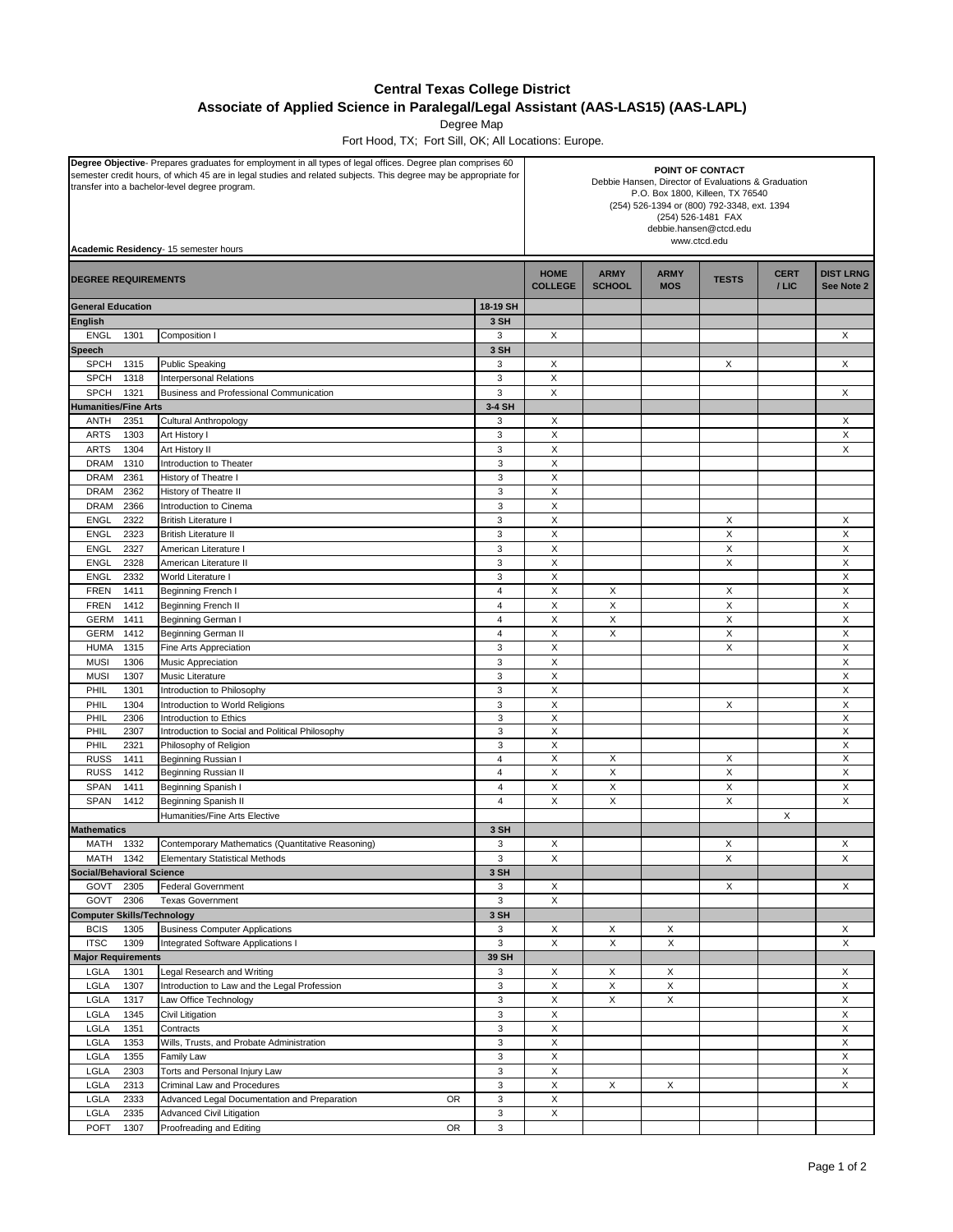## **Central Texas College District Associate of Applied Science in Paralegal/Legal Assistant (AAS-LAS15) (AAS-LAPL)**

Degree Map

Fort Hood, TX; Fort Sill, OK; All Locations: Europe.

| Degree Objective- Prepares graduates for employment in all types of legal offices. Degree plan comprises 60<br>semester credit hours, of which 45 are in legal studies and related subjects. This degree may be appropriate for<br>transfer into a bachelor-level degree program.<br>Academic Residency- 15 semester hours |              |                                                           | POINT OF CONTACT<br>Debbie Hansen, Director of Evaluations & Graduation<br>P.O. Box 1800, Killeen, TX 76540<br>(254) 526-1394 or (800) 792-3348, ext. 1394<br>(254) 526-1481 FAX<br>debbie.hansen@ctcd.edu<br>www.ctcd.edu |                                |                              |                           |              |                        |                                |
|----------------------------------------------------------------------------------------------------------------------------------------------------------------------------------------------------------------------------------------------------------------------------------------------------------------------------|--------------|-----------------------------------------------------------|----------------------------------------------------------------------------------------------------------------------------------------------------------------------------------------------------------------------------|--------------------------------|------------------------------|---------------------------|--------------|------------------------|--------------------------------|
| <b>DEGREE REQUIREMENTS</b>                                                                                                                                                                                                                                                                                                 |              |                                                           |                                                                                                                                                                                                                            | <b>HOME</b><br><b>COLLEGE</b>  | <b>ARMY</b><br><b>SCHOOL</b> | <b>ARMY</b><br><b>MOS</b> | <b>TESTS</b> | <b>CERT</b><br>$/$ LIC | <b>DIST LRNG</b><br>See Note 2 |
| <b>General Education</b>                                                                                                                                                                                                                                                                                                   |              |                                                           | 18-19 SH                                                                                                                                                                                                                   |                                |                              |                           |              |                        |                                |
| <b>English</b>                                                                                                                                                                                                                                                                                                             |              |                                                           | 3 SH                                                                                                                                                                                                                       |                                |                              |                           |              |                        |                                |
| <b>ENGL</b>                                                                                                                                                                                                                                                                                                                | 1301         | Composition I                                             | 3                                                                                                                                                                                                                          | X                              |                              |                           |              |                        | X                              |
| Speech                                                                                                                                                                                                                                                                                                                     |              |                                                           | 3 SH                                                                                                                                                                                                                       |                                |                              |                           |              |                        |                                |
| <b>SPCH</b>                                                                                                                                                                                                                                                                                                                | 1315         | <b>Public Speaking</b>                                    | 3                                                                                                                                                                                                                          | X                              |                              |                           | X            |                        | X                              |
| <b>SPCH</b>                                                                                                                                                                                                                                                                                                                | 1318         | <b>Interpersonal Relations</b>                            | 3                                                                                                                                                                                                                          | X                              |                              |                           |              |                        |                                |
| <b>SPCH</b>                                                                                                                                                                                                                                                                                                                | 1321         | Business and Professional Communication                   | 3                                                                                                                                                                                                                          | X                              |                              |                           |              |                        | X                              |
| <b>Humanities/Fine Arts</b>                                                                                                                                                                                                                                                                                                |              |                                                           | 3-4 SH                                                                                                                                                                                                                     |                                |                              |                           |              |                        |                                |
| <b>ANTH</b>                                                                                                                                                                                                                                                                                                                | 2351         | Cultural Anthropology                                     | 3                                                                                                                                                                                                                          | X                              |                              |                           |              |                        | X                              |
| <b>ARTS</b>                                                                                                                                                                                                                                                                                                                | 1303         | Art History I                                             | 3                                                                                                                                                                                                                          | Χ                              |                              |                           |              |                        | X                              |
| <b>ARTS</b>                                                                                                                                                                                                                                                                                                                | 1304         | Art History II                                            | 3                                                                                                                                                                                                                          | Χ                              |                              |                           |              |                        | X                              |
| <b>DRAM</b><br><b>DRAM</b>                                                                                                                                                                                                                                                                                                 | 1310<br>2361 | Introduction to Theater                                   | 3<br>3                                                                                                                                                                                                                     | X<br>X                         |                              |                           |              |                        |                                |
| DRAM                                                                                                                                                                                                                                                                                                                       | 2362         | History of Theatre I<br>History of Theatre II             | 3                                                                                                                                                                                                                          | Χ                              |                              |                           |              |                        |                                |
| <b>DRAM</b>                                                                                                                                                                                                                                                                                                                | 2366         | Introduction to Cinema                                    | 3                                                                                                                                                                                                                          | X                              |                              |                           |              |                        |                                |
| <b>ENGL</b>                                                                                                                                                                                                                                                                                                                | 2322         | <b>British Literature I</b>                               | 3                                                                                                                                                                                                                          | X                              |                              |                           | X            |                        | X                              |
| <b>ENGL</b>                                                                                                                                                                                                                                                                                                                | 2323         | <b>British Literature II</b>                              | 3                                                                                                                                                                                                                          | $\boldsymbol{\mathsf{X}}$      |                              |                           | X            |                        | X                              |
| <b>ENGL</b>                                                                                                                                                                                                                                                                                                                | 2327         | American Literature I                                     | 3                                                                                                                                                                                                                          | X                              |                              |                           | X            |                        | X                              |
| <b>ENGL</b>                                                                                                                                                                                                                                                                                                                | 2328         | American Literature II                                    | 3                                                                                                                                                                                                                          | X                              |                              |                           | X            |                        | X                              |
| <b>ENGL</b>                                                                                                                                                                                                                                                                                                                | 2332         | World Literature I                                        | 3                                                                                                                                                                                                                          | X                              |                              |                           |              |                        | X                              |
| <b>FREN</b>                                                                                                                                                                                                                                                                                                                | 1411         | Beginning French I                                        | $\overline{\mathbf{4}}$                                                                                                                                                                                                    | $\boldsymbol{\mathsf{X}}$      | X                            |                           | X            |                        | X                              |
| <b>FREN</b>                                                                                                                                                                                                                                                                                                                | 1412         | Beginning French II                                       | 4                                                                                                                                                                                                                          | Χ                              | X                            |                           | X            |                        | X                              |
| <b>GERM</b>                                                                                                                                                                                                                                                                                                                | 1411         | Beginning German I                                        | $\overline{\mathbf{4}}$                                                                                                                                                                                                    | Χ                              | $\mathsf X$                  |                           | X            |                        | $\mathsf X$                    |
| <b>GERM</b>                                                                                                                                                                                                                                                                                                                | 1412         | <b>Beginning German II</b>                                | 4                                                                                                                                                                                                                          | Χ                              | X                            |                           | X            |                        | X                              |
| <b>HUMA</b>                                                                                                                                                                                                                                                                                                                | 1315         | Fine Arts Appreciation                                    | 3                                                                                                                                                                                                                          | $\boldsymbol{\mathsf{X}}$      |                              |                           | X            |                        | X                              |
| <b>MUSI</b>                                                                                                                                                                                                                                                                                                                | 1306         | Music Appreciation                                        | 3                                                                                                                                                                                                                          | X                              |                              |                           |              |                        | X                              |
| <b>MUSI</b>                                                                                                                                                                                                                                                                                                                | 1307         | Music Literature                                          | 3                                                                                                                                                                                                                          | $\boldsymbol{\mathsf{X}}$      |                              |                           |              |                        | $\mathsf X$                    |
| PHIL                                                                                                                                                                                                                                                                                                                       | 1301         | Introduction to Philosophy                                | 3                                                                                                                                                                                                                          | X                              |                              |                           |              |                        | X                              |
| PHIL                                                                                                                                                                                                                                                                                                                       | 1304         | Introduction to World Religions                           | 3                                                                                                                                                                                                                          | $\boldsymbol{\mathsf{X}}$      |                              |                           | X            |                        | X                              |
| PHIL                                                                                                                                                                                                                                                                                                                       | 2306         | Introduction to Ethics                                    | 3                                                                                                                                                                                                                          | Χ<br>$\boldsymbol{\mathsf{X}}$ |                              |                           |              |                        | X<br>X                         |
| PHIL<br>PHIL                                                                                                                                                                                                                                                                                                               | 2307<br>2321 | Introduction to Social and Political Philosophy           | 3<br>3                                                                                                                                                                                                                     | X                              |                              |                           |              |                        | X                              |
| <b>RUSS</b>                                                                                                                                                                                                                                                                                                                | 1411         | Philosophy of Religion<br>Beginning Russian I             | $\overline{4}$                                                                                                                                                                                                             | X                              | Х                            |                           | Х            |                        | X                              |
| <b>RUSS</b>                                                                                                                                                                                                                                                                                                                | 1412         | Beginning Russian II                                      | 4                                                                                                                                                                                                                          | X                              | X                            |                           | X            |                        | X                              |
| SPAN                                                                                                                                                                                                                                                                                                                       | 1411         | Beginning Spanish I                                       | $\overline{\mathbf{4}}$                                                                                                                                                                                                    | $\boldsymbol{\mathsf{X}}$      | $\boldsymbol{\mathsf{X}}$    |                           | X            |                        | X                              |
| SPAN                                                                                                                                                                                                                                                                                                                       | 1412         | Beginning Spanish II                                      | 4                                                                                                                                                                                                                          | X                              | X                            |                           | X            |                        | X                              |
|                                                                                                                                                                                                                                                                                                                            |              | Humanities/Fine Arts Elective                             |                                                                                                                                                                                                                            |                                |                              |                           |              | X                      |                                |
| <b>Mathematics</b>                                                                                                                                                                                                                                                                                                         |              |                                                           | 3 SH                                                                                                                                                                                                                       |                                |                              |                           |              |                        |                                |
| MATH 1332                                                                                                                                                                                                                                                                                                                  |              | Contemporary Mathematics (Quantitative Reasoning)         | 3                                                                                                                                                                                                                          | X                              |                              |                           | X            |                        | X                              |
| MATH 1342                                                                                                                                                                                                                                                                                                                  |              | <b>Elementary Statistical Methods</b>                     | 3                                                                                                                                                                                                                          | Х                              |                              |                           | x            |                        | X                              |
| <b>Social/Behavioral Science</b>                                                                                                                                                                                                                                                                                           |              |                                                           | 3 SH                                                                                                                                                                                                                       |                                |                              |                           |              |                        |                                |
| GOVT                                                                                                                                                                                                                                                                                                                       | 2305         | <b>Federal Government</b>                                 | 3                                                                                                                                                                                                                          | X                              |                              |                           | X            |                        | X                              |
| GOVT                                                                                                                                                                                                                                                                                                                       | 2306         | <b>Texas Government</b>                                   | 3                                                                                                                                                                                                                          | X                              |                              |                           |              |                        |                                |
| <b>Computer Skills/Technology</b>                                                                                                                                                                                                                                                                                          |              |                                                           | 3 SH                                                                                                                                                                                                                       |                                |                              |                           |              |                        |                                |
| <b>BCIS</b>                                                                                                                                                                                                                                                                                                                | 1305         | <b>Business Computer Applications</b>                     | 3                                                                                                                                                                                                                          | Х                              | X                            | Х                         |              |                        | X                              |
| <b>ITSC</b><br><b>Major Requirements</b>                                                                                                                                                                                                                                                                                   | 1309         | Integrated Software Applications I                        | 3                                                                                                                                                                                                                          | Χ                              | X                            | X                         |              |                        | X                              |
| LGLA                                                                                                                                                                                                                                                                                                                       | 1301         | Legal Research and Writing                                | 39 SH<br>3                                                                                                                                                                                                                 | X                              | X                            | X                         |              |                        | X                              |
| LGLA                                                                                                                                                                                                                                                                                                                       | 1307         | Introduction to Law and the Legal Profession              | 3                                                                                                                                                                                                                          | X                              | X                            | X                         |              |                        | X                              |
| LGLA                                                                                                                                                                                                                                                                                                                       | 1317         | Law Office Technology                                     | 3                                                                                                                                                                                                                          | X                              | X                            | X                         |              |                        | X                              |
| LGLA                                                                                                                                                                                                                                                                                                                       | 1345         | Civil Litigation                                          | 3                                                                                                                                                                                                                          | X                              |                              |                           |              |                        | X                              |
| LGLA                                                                                                                                                                                                                                                                                                                       | 1351         | Contracts                                                 | 3                                                                                                                                                                                                                          | $\mathsf X$                    |                              |                           |              |                        | X                              |
| LGLA                                                                                                                                                                                                                                                                                                                       | 1353         | Wills, Trusts, and Probate Administration                 | 3                                                                                                                                                                                                                          | X                              |                              |                           |              |                        | X                              |
| LGLA                                                                                                                                                                                                                                                                                                                       | 1355         | Family Law                                                | 3                                                                                                                                                                                                                          | X                              |                              |                           |              |                        | X                              |
| LGLA                                                                                                                                                                                                                                                                                                                       | 2303         | Torts and Personal Injury Law                             | 3                                                                                                                                                                                                                          | X                              |                              |                           |              |                        | X                              |
| LGLA                                                                                                                                                                                                                                                                                                                       | 2313         | Criminal Law and Procedures                               | 3                                                                                                                                                                                                                          | X                              | X                            | X                         |              |                        | X                              |
| LGLA                                                                                                                                                                                                                                                                                                                       | 2333         | Advanced Legal Documentation and Preparation<br><b>OR</b> | 3                                                                                                                                                                                                                          | Χ                              |                              |                           |              |                        |                                |
| LGLA                                                                                                                                                                                                                                                                                                                       | 2335         | Advanced Civil Litigation                                 | 3                                                                                                                                                                                                                          | $\mathsf X$                    |                              |                           |              |                        |                                |
| <b>POFT</b>                                                                                                                                                                                                                                                                                                                | 1307         | Proofreading and Editing<br>OR                            | 3                                                                                                                                                                                                                          |                                |                              |                           |              |                        |                                |